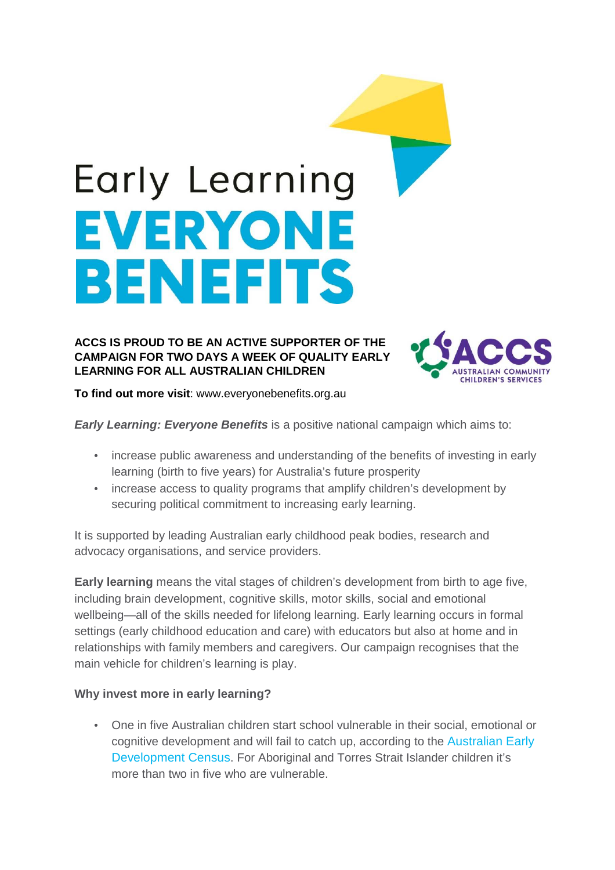# Early Learning EVERYONE BENEFITS

### **ACCS IS PROUD TO BE AN ACTIVE SUPPORTER OF THE CAMPAIGN FOR TWO DAYS A WEEK OF QUALITY EARLY LEARNING FOR ALL AUSTRALIAN CHILDREN**



**To find out more visit**: www.everyonebenefits.org.au

**Early Learning: Everyone Benefits** is a positive national campaign which aims to:

- increase public awareness and understanding of the benefits of investing in early learning (birth to five years) for Australia's future prosperity
- increase access to quality programs that amplify children's development by securing political commitment to increasing early learning.

It is supported by leading Australian early childhood peak bodies, research and advocacy organisations, and service providers.

**Early learning** means the vital stages of children's development from birth to age five, including brain development, cognitive skills, motor skills, social and emotional wellbeing—all of the skills needed for lifelong learning. Early learning occurs in formal settings (early childhood education and care) with educators but also at home and in relationships with family members and caregivers. Our campaign recognises that the main vehicle for children's learning is play.

## **Why invest more in early learning?**

• One in five Australian children start school vulnerable in their social, emotional or cognitive development and will fail to catch up, according to the Australian Early Development Census. For Aboriginal and Torres Strait Islander children it's more than two in five who are vulnerable.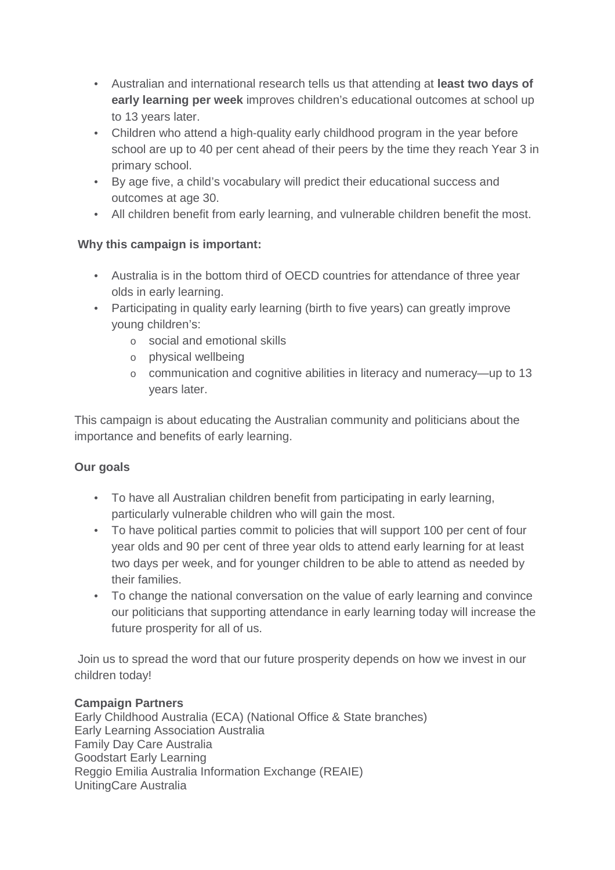- Australian and international research tells us that attending at **least two days of early learning per week** improves children's educational outcomes at school up to 13 years later.
- Children who attend a high-quality early childhood program in the year before school are up to 40 per cent ahead of their peers by the time they reach Year 3 in primary school.
- By age five, a child's vocabulary will predict their educational success and outcomes at age 30.
- All children benefit from early learning, and vulnerable children benefit the most.

# **Why this campaign is important:**

- Australia is in the bottom third of OECD countries for attendance of three year olds in early learning.
- Participating in quality early learning (birth to five years) can greatly improve young children's:
	- o social and emotional skills
	- o physical wellbeing
	- o communication and cognitive abilities in literacy and numeracy—up to 13 years later.

This campaign is about educating the Australian community and politicians about the importance and benefits of early learning.

## **Our goals**

- To have all Australian children benefit from participating in early learning, particularly vulnerable children who will gain the most.
- To have political parties commit to policies that will support 100 per cent of four year olds and 90 per cent of three year olds to attend early learning for at least two days per week, and for younger children to be able to attend as needed by their families.
- To change the national conversation on the value of early learning and convince our politicians that supporting attendance in early learning today will increase the future prosperity for all of us.

 Join us to spread the word that our future prosperity depends on how we invest in our children today!

## **Campaign Partners**

Early Childhood Australia (ECA) (National Office & State branches) Early Learning Association Australia Family Day Care Australia Goodstart Early Learning Reggio Emilia Australia Information Exchange (REAIE) UnitingCare Australia